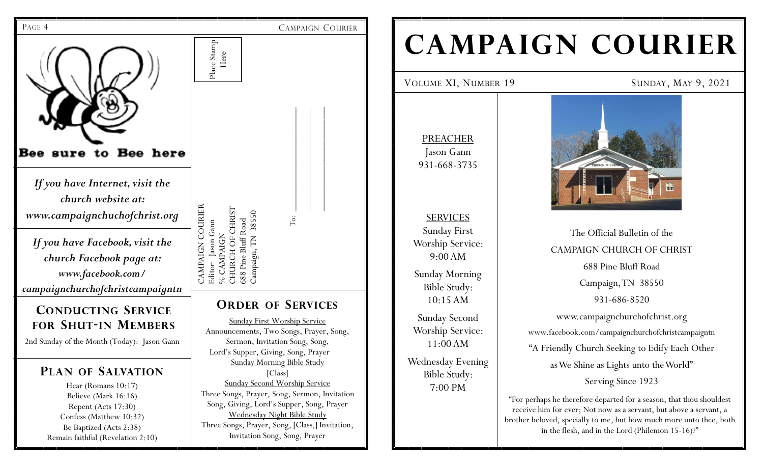

# **CAMPAIGN COURIER**

VOLUME XI, NUMBER 19 SUNDAY, MAY 9, 2021

PREACHER Jason Gann 931-668-3735

SERVICES Sunday First Worship Service: 9:00 AM Sunday Morning Bible Study: 10:15 AM

Sunday Second Worship Service: 11:00 AM Wednesday Evening Bible Study:

7:00 PM





The Official Bulletin of the CAMPAIGN CHURCH OF CHRIST 688 Pine Bluff Road Campaign, TN 38550 931-686-8520 www.campaignchurchofchrist.org www.facebook.com/campaignchurchofchristcampaigntn "A Friendly Church Seeking to Edify Each Other as We Shine as Lights unto the World" Serving Since 1923

"For perhaps he therefore departed for a season, that thou shouldest receive him for ever; Not now as a servant, but above a servant, a brother beloved, specially to me, but how much more unto thee, both in the flesh, and in the Lord (Philemon 15-16)?"